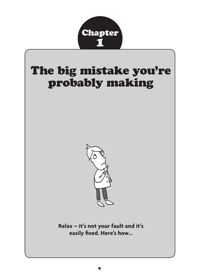

# The big mistake you're probably making



**Relax – it's not your fault and it's easily fixed. Here's how...**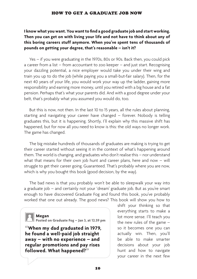### **I know what you want. You want to find a good graduate job and start working. Then you can get on with living your life and not have to think about any of this boring careers stuff anymore. When you've spent tens of thousands of pounds on getting your degree, that's reasonable – isn't it?**

Yes – if you were graduating in the 1970s, 80s or 90s. Back then, you could pick a career from a list – from accountant to zoo keeper – and just start. Recognising your dazzling potential, a nice employer would take you under their wing and train you up to do the job (while paying you a small-but-fair salary). Then, for the next 40 years of your life, you would work your way up the ladder, gaining more responsibility and earning more money, until you retired with a big house and a fat pension. Perhaps that's what your parents did. And with a good degree under your belt, that's probably what you assumed you would do, too.

But this is now, not then. In the last 10 to 15 years, all the rules about planning, starting and navigating your career have changed – forever. Nobody is telling graduates this, but it is happening. Shortly, I'll explain why this massive shift has happened, but for now all you need to know is this: the old ways no longer work. The game has changed.

The big mistake hundreds of thousands of graduates are making is trying to get their career started without seeing it in the context of what's happening around them. The world is changing, and graduates who don't realise this – nor understand what that means for their own job hunt and career plans, here and now – will struggle to get their career going. Guaranteed. That's probably where you are now, which is why you bought this book (good decision, by the way).

The bad news is that you probably won't be able to sleepwalk your way into a graduate job – and certainly not your 'dream' graduate job. But as you're smart enough to have discovered Graduate Fog and found this book, you've probably worked that one out already. The good news? This book will show you how to

**Megan** 

**Posted on Graduate Fog – Jan 3, at 12.59 pm**

**"When my dad graduated in 1979, he found a well-paid job straight away – with no experience – and regular promotions and pay rises followed. What happened?"**

shift your thinking so that everything starts to make a lot more sense. I'll teach you the new rules of the game – so it becomes one you can actually win. Then, you'll be able to make smarter decisions about your job hunt and how to navigate your career in the next few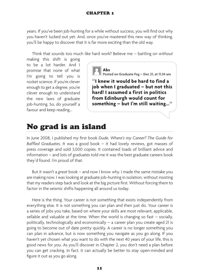### CHAPTER 1

years. If you've been job-hunting for a while without success, you will find out why you haven't lucked out yet. And, once you've mastered this new way of thinking, you'll be happy to discover that it is far more exciting than the old way.

Think that sounds too much like hard work? Believe me – battling on *without* 

making this shift is going to be a lot harder. And I promise that none of what I'm going to tell you is rocket science. If you're clever enough to get a degree, you're clever enough to understand the new laws of graduate job-hunting. So, do yourself a favour and keep reading...



**Posted on Graduate Fog – Dec 21, at 11.34 am**

**"I knew it would be hard to find a job when I graduated – but not this hard! I assumed a first in politics from Edinburgh would count for something – but I'm still waiting..."**

### No grad is an island

In June 2008, I published my first book *Dude, Where's my Career? The Guide for Baffled Graduates*. It was a good book – it had lovely reviews, got masses of press coverage and sold 3,000 copies. It contained loads of brilliant advice and information – and lots of graduates told me it was the best graduate careers book they'd found. I'm proud of that.

But it wasn't a *great* book – and now I know why. I made the same mistake you are making now. I was looking at graduate job-hunting in isolation, without insisting that my readers step back and look at the big picture first. Without forcing them to factor in the seismic shifts happening all around us today.

Here is the thing. Your career is not something that exists independently from everything else. It is not something you can plan and then just do. Your career is a series of jobs you take, based on where your skills are most relevant, applicable, sellable and valuable at the time. When the world is changing so fast  $-$  socially, politically, technologically and economically – a career plan you create aged 21 is going to become out of date pretty quickly. A career is no longer something you can plan in advance, but is now something you navigate as you go along. If you haven't yet chosen what you want to do with the next 40 years of your life, this is good news for you. As you'll discover in Chapter 2, you don't need a plan before you can get cracking. In fact, it can actually be better to stay open-minded and figure it out as you go along.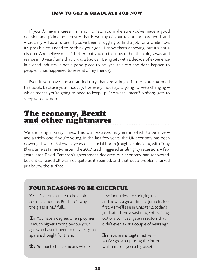If you *do* have a career in mind, I'll help you make sure you've made a good decision and picked an industry that is worthy of your talent and hard work and – crucially – has a future. If you've been struggling to find a job for a while now, it's possible you need to re-think your goal. I know that's annoying, but it's not a disaster. And believe me, it's better that you do this now rather than plug away and realise in 10 years' time that it was a bad call. Being left with a decade of experience in a dead industry is not a good place to be (yes, this can and does happen to people. It has happened to several of my friends).

Even if you have chosen an industry that *has* a bright future, you *still* need this book, because your industry, like every industry, is going to keep changing  $$ which means you're going to need to keep up. See what I mean? *Nobody* gets to sleepwalk anymore.

### The economy, Brexit and other nightmares

We are living in crazy times. This is an extraordinary era in which to be alive – and a tricky one if you're young. In the last few years, the UK economy has been downright weird. Following years of financial boom (roughly coinciding with Tony Blair's time as Prime Minister), the 2007 crash triggered an almighty recession. A few years later, David Cameron's government declared our economy had recovered, but critics feared all was not quite as it seemed, and that deep problems lurked just below the surface.

### FOUR REASONS TO BE CHEERFUL

Yes, it's a tough time to be a jobseeking graduate. But here's why the glass is half full...

1. You have a degree. Unemployment is much higher among people your age who haven't been to university, so spare a thought for them.

2. So much change means whole

new industries are springing up – and now is a great time to jump in, feet first. As we'll see in Chapter 2, today's graduates have a vast range of exciting options to investigate in sectors that didn't even exist a couple of years ago.

3. You are a 'digital native' – you've grown up using the internet – which makes you a big asset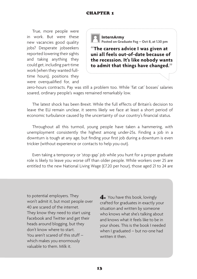True, more people were in work. But were these new vacancies good quality jobs? Desperate jobseekers reported lowering their sights and taking anything they could get, including part-time work (when they wanted fulltime hours), positions they were overqualified for, and



**"The careers advice I was given at uni all feels out-of-date because of the recession. It's like nobody wants to admit that things have changed."**

zero-hours contracts. Pay was still a problem too. While 'fat cat' bosses' salaries soared, ordinary people's wages remained remarkably low.

The latest shock has been Brexit. While the full effects of Britain's decision to leave the EU remain unclear, it seems likely we face at least a short period of economic turbulance caused by the uncertainty of our country's financial status.

Throughout all this turmoil, young people have taken a hammering, with unemployment consistently the highest among under-25s. Finding a job in a downturn is tough at any age, but finding your first job during a downturn is even trickier (without experience or contacts to help you out).

Even taking a temporary or 'stop-gap' job while you hunt for a proper graduate role is likely to leave you worse off than older people. While workers over 25 are entitled to the new National Living Wage (£7.20 per hour), those aged 21 to 24 are

to potential employers. They won't admit it, but most people over 40 are scared of the internet. They know they need to start using Facebook and Twitter and get their heads around blogging, but they don't know where to start. You aren't scared of this stuff – which makes you enormously valuable to them. Milk it.

4. You have this book, lovingly crafted for graduates in exactly your situation and written by someone who knows what she's talking about and knows what it feels like to be in your shoes. This is the book I needed when I graduated – but no-one had written it then.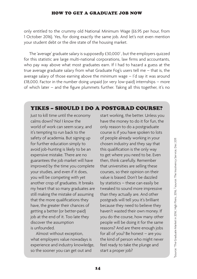only entitled to the crummy old National Minimum Wage (£6.95 per hour, from 1 October 2016). Yes, for doing exactly the same job. And let's not even mention your student debt or the dire state of the housing market.

The 'average' graduate salary is supposedly  $£30,000<sup>1</sup>$ , but the employers quizzed for this statistic are large multi-national corporations, law firms and accountants, who pay way above what most graduates earn. If I had to hazard a guess at the true average graduate salary from what Graduate Fog's users tell me – that is, the average salary of those earning above the minimum wage – I'd say it was around £18,000. Factor in the number doing unpaid (or very low-paid) internships – more of which later – and the figure plummets further. Taking all this together, it's no

### YIKES – SHOULD I DO A POSTGRAD COURSE?

Just to kill time until the economy calms down? No! I know the world of work can seem scary, and it's tempting to run back to the safety of academia. But signing up for further education simply to avoid job-hunting is likely to be an expensive mistake. There are no guarantees the job market will have improved by the time you complete your studies, and even if it does, you will be competing with yet another crop of graduates. It breaks my heart that so many graduates are still making the mistake of assuming that the more qualifications they have, the greater their chances of getting a better (or better-paid) job at the end of it. Too late they discover the assumption is unfounded.

Almost without exception, what employers value nowadays is experience and industry knowledge, so the sooner you can get out and

start working, the better. Unless you have the money to do it for fun, the only reason to do a postgraduate course is if you have spoken to lots of people already working in your chosen industry and they say that this qualification is the only way to get where you need to be. Even then, think carefully. Remember that universities are selling these courses, so their opinion on their value is biased. Don't be dazzled by statistics – these can easily be tweaked to sound more impressive than they actually are. And other postgrads will tell you it's brilliant because they need to believe they haven't wasted their own money. If you do the course, how many other people will be doing it for the same reasons? And are there enough jobs for all of you? Be honest – are you the kind of person who might never feel ready to take the plunge and start a proper job?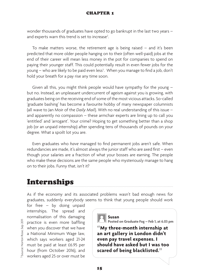wonder thousands of graduates have opted to go bankrupt in the last two years – and experts warn this trend is set to increase<sup>2</sup>. .

To make matters worse, the retirement age is being raised – and it's been predicted that more older people hanging on to their (often well-paid) jobs at the end of their career will mean less money in the pot for companies to spend on paying their younger staff. This could potentially result in even fewer jobs for the young – who are likely to be paid even less $^3$ . When you manage to find a job, don't hold your breath for a pay rise any time soon.

Given all this, you might think people would have sympathy for the young – but no. Instead, an unpleasant undercurrent of ageism against you is growing, with graduates being on the receiving end of some of the most vicious attacks. So-called 'graduate bashing' has become a favourite hobby of many newspaper columnists (all wave to Jan Moir of the *Daily Mail*). With no real understanding of this issue – and apparently no compassion – these armchair experts are lining up to call you 'entitled' and 'arrogant'. Your crime? Hoping to get something better than a shop job (or an unpaid internship) after spending tens of thousands of pounds on your degree. What a spoilt lot you are.

Even graduates who *have* managed to find permanent jobs aren't safe. When redundancies are made, it's almost always the junior staff who are axed first – even though your salaries are a fraction of what your bosses are earning. The people who make these decisions are the same people who mysteriously manage to hang on to their jobs. Funny that, isn't it?

### Internships

As if the economy and its associated problems wasn't bad enough news for graduates, suddenly everybody seems to think that young people should work

for free – by doing unpaid internships. The spread and normalisation of this damaging practice is even more baffling when you discover that we have a National Minimum Wage law, which says workers aged 21-24 must be paid at least £6.95 per hour (from October 2016), and workers aged 25 or over must be



**Posted on Graduate Fog – Feb 1, at 6.03 pm**

**"My three-month internship at an art gallery in London didn't even pay travel expenses. I should have asked but I was too scared of being blacklisted."**

Source: Norton Rose, Sep 201 3 Source: Norton Rose, Sep 2011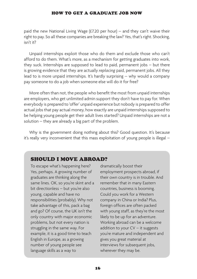paid the new National Living Wage (£7.20 per hour) – and they can't waive their right to pay. So all these companies are breaking the law? Yes, that's right. Shocking, isn't it?

Unpaid internships exploit those who do them and exclude those who can't afford to do them. What's more, as a mechanism for getting graduates into work, they suck. Internships are supposed to lead to paid, permanent jobs – but there is growing evidence that they are actually *replacing* paid, permanent jobs. All they lead to is more unpaid internships. It's hardly surprising – why would a company pay someone to do a job when someone else will do it for free?

More often than not, the people who benefit the most from unpaid internships are employers, who get unlimited admin support they don't have to pay for. When everybody is prepared to 'offer' unpaid experience but nobody is prepared to offer actual jobs that pay actual money, how exactly are unpaid internships supposed to be helping young people get their adult lives started? Unpaid internships are not a solution – they are already a big part of the problem.

Why is the government doing nothing about this? Good question. It's because it's really very inconvenient that this mass exploitation of young people is illegal –

### SHOULD I MOVE ABROAD?

To escape what's happening here? Yes, perhaps. A growing number of graduates are thinking along the same lines. OK, so you're skint and a bit directionless – but you're also young, capable and have no responsibilities (probably). Why not take advantage of this, pack a bag and go? Of course, the UK isn't the only country with major economic problems, but not every nation is struggling in the same way. For example, it is a good time to teach English in Europe, as a growing number of young people see language skills as a way to

dramatically boost their employment prospects abroad, if their own country is in trouble. And remember that in many Eastern countries, business is booming. Could you work for a Western company in China or India? Plus, foreign offices are often packed with young staff, as they're the most likely to be up for an adventure. Working abroad can be a welcome addition to your  $CV - it$  suggests you're mature and independent and gives you great material at interviews for subsequent jobs, wherever they may be.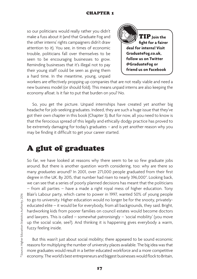so our politicians would really rather you didn't make a fuss about it (and that Graduate Fog and the other interns' rights campaigners didn't draw attention to it). You see, in times of economic trouble, politicians fall over themselves to be seen to be encouraging businesses to grow. Reminding businesses that it's illegal not to pay their young staff could be seen as giving them a hard time. In the meantime, young, unpaid



workers are effectively propping up companies that are not really viable and need a new business model (or should fold). This means unpaid interns are also keeping the economy afloat. Is it fair to put that burden on you? No.

So, you get the picture. Unpaid internships have created yet another big headache for job-seeking graduates. Indeed, they are such a huge issue that they've got their own chapter in this book (Chapter 3). But for now, all you need to know is that the ferocious spread of this legally and ethically dodgy practice has proved to be extremely damaging for today's graduates – and is yet another reason why you may be finding it difficult to get your career started.

### A glut of graduates

So far, we have looked at reasons why there seem to be so few graduate jobs around. But there is another question worth considering, too: why are there so many *graduates* around? In 2001, over 271,000 people graduated from their first degree in the UK. By 2015, that number had risen to nearly 396,000<sup>4</sup>. Looking back, we can see that a series of poorly planned decisions has meant that the politicians – from all parties – have a made a right royal mess of higher education. Tony Blair's Labour party, which came to power in 1997, wanted 50% of young people to go to university. Higher education would no longer be for the snooty, privatelyeducated elite – it would be for everybody, from all backgrounds, they said. Bright, hardworking kids from poorer families on council estates would become doctors and lawyers. This is called – somewhat patronisingly – 'social mobility' (you move up the social scale, see?). And thinking it is happening gives everybody a warm, fuzzy feeling inside.

But this wasn't just about social mobility; there appeared to be sound economic reasons for multiplying the number of university places available. The big idea was that more graduates would result in a better educated workforce and a more competitive economy. The world's best entrepreneurs and biggest businesses would flock to Britain,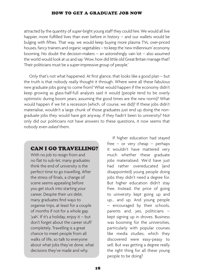attracted by the quantity of super-bright young staff they could hire. We would all live happier, more fulfilled lives than ever before in history – and our wallets would be bulging with fifties. That way, we would keep buying more plasma TVs, over-priced houses, fancy trainers and organic vegetables – to keep the 'new millennium' economy booming. No doubt the decision-makers – an astonishingly vain lot – also assumed the world would look at us and say 'Wow, how did little old Great Britain manage that? Their politicians must be a super-impressive group of people.'

Only that's not what happened. At first glance, that looks like a good plan – but the truth is that nobody really thought it through. Where were all these fabulous new graduate jobs going to come from? What would happen if the economy didn't keep growing as glass-half-full analysts said it would (people tend to be overly optimistic during boom years, assuming the good times are the new norm)? What would happen if we hit a recession (which, of course, we did)? If these jobs didn't materialise, wouldn't a large chunk of those graduates just end up doing the nongraduate jobs they would have got anyway, if they hadn't been to university? Not only did our politicians not have answers to these questions, it now seems that nobody even *asked* them.

### CAN I GO TRAVELLING?

With no job to resign from and no flat to sub-let, many graduates think the end of university is the perfect time to go travelling. After the stress of finals, a change of scene seems appealing before you get stuck into starting your career. Despite their uni debt, many graduates find ways to organise trips, at least for a couple of months if not for a whole gap 'yah'. If it's a holiday, enjoy it – but don't forget about the career stuff completely. Travelling is a great chance to meet people from all walks of life, so talk to everyone about what jobs they've done, what decisions they've made and why.

If higher education had stayed free – or very cheap – perhaps it wouldn't have mattered very much whether these graduate jobs materialised. We'd have just had rather overeducated (and disappointed) young people doing jobs they didn't need a degree for. But higher education didn't stay free. Instead, the price of going to university kept going up and up... and up. And young people – encouraged by their schools, parents and, yes, politicians – kept signing up in droves. Business was booming for the universities, particularly with popular courses like media studies, which they discovered were easy-peasy to sell. But was getting a degree really the right thing for all these young people to be doing?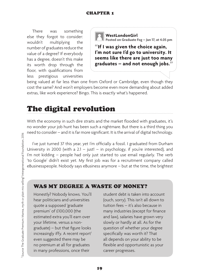There was something else they forgot to consider: wouldn't multiplying the number of graduates reduce the value of a degree? If everybody has a degree, doesn't this make its worth drop through the floor, with qualifications from less prestigious universities



**WestLondonGirl Posted on Graduate Fog – Jan 17, at 4.05 pm**

**"If I was given the choice again, I'm not sure I'd go to university. It seems like there are just too many graduates – and not enough jobs."**

being valued at far less than one from Oxford or Cambridge, even though they cost the same? And won't employers become even more demanding about added extras, like work experience? Bingo. This is exactly what's happened.

## The digital revolution

With the economy in such dire straits and the market flooded with graduates, it's no wonder your job hunt has been such a nightmare. But there is a third thing you need to consider – and it is far more significant. It is the arrival of digital technology.

I've just turned 37 this year, yet I'm officially a fossil. I graduated from Durham University in 2000 (with a 2.1 – just! – in psychology, if you're interested), and I'm not kidding – people had only just started to use email regularly. The verb 'to Google' didn't exist yet. My first job was for a recruitment company called eBusinesspeople. Nobody says eBusiness anymore – but at the time, the brightest

### WAS MY DEGREE A WASTE OF MONEY?

Honestly? Nobody knows. You'll hear politicians and universities quote a supposed 'graduate premium' of £100,000 (the estimated extra you'll earn over your lifetime, versus a nongraduate) – but that figure looks increasingly iffy. A recent report<sup>1</sup> even suggested there may be no premium at all for graduates in many professions, once their

student debt is taken into account (ouch, sorry). This isn't all down to tuition fees – it's also because in many industries (except for finance and law), salaries have grown very slowly or hardly at all. As for the question of whether your degree specifically was worth it? That all depends on your ability to be flexible and opportunistic as your career progresses.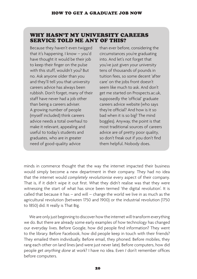### WHY HASN'T MY UNIVERSITY CAREERS SERVICE TOLD ME ANY OF THIS?

Because they haven't even twigged that it's happening. I know – you'd have thought it would be their job to keep their finger on the pulse with this stuff, wouldn't you? But no. Ask anyone older than you and they'll tell you that university careers advice has always been rubbish. Don't forget, many of their staff have never had a job other than being a careers adviser. A growing number of people (myself included) think careers advice needs a total overhaul to make it relevant, appealing and useful to today's students and graduates, who are in greater need of good-quality advice

than ever before, considering the circumstances you're graduating into. And let's not forget that you've just given your university tens of thousands of pounds in tuition fees, so some decent 'after care' on the jobs front doesn't seem like much to ask. And don't get me started on Prospects.ac.uk, supposedly the 'official' graduate careers advice website (who says they're official? And how is it so bad when it is so big? The mind boggles). Anyway, the point is that most traditional sources of careers advice are of pretty poor quality, so don't freak out if you don't find them helpful. Nobody does.

minds in commerce thought that the way the internet impacted their business would simply become a new department in their company. They had no idea that the internet would *completely revolutionise* every aspect of their company. That is, if it didn't wipe it out first. What they didn't realise was that they were witnessing the start of what has since been termed 'the digital revolution'. It is called that because it has – and will – change the world we live in as much as the agricultural revolution (between 1750 and 1900) or the industrial revolution (1750 to 1850) did. It really is That Big.

We are only just beginning to discover how the internet will transform everything we do. But there are already some early examples of how technology has changed our everyday lives. Before Google, how did people find information? They went to the library. Before Facebook, how did people keep in touch with their friends? They emailed them individually. Before email, they phoned. Before mobiles, they rang each other on land lines (and were just never late). Before computers, how did people get *anything done* at work? I have no idea. Even *I* don't remember offices before computers.